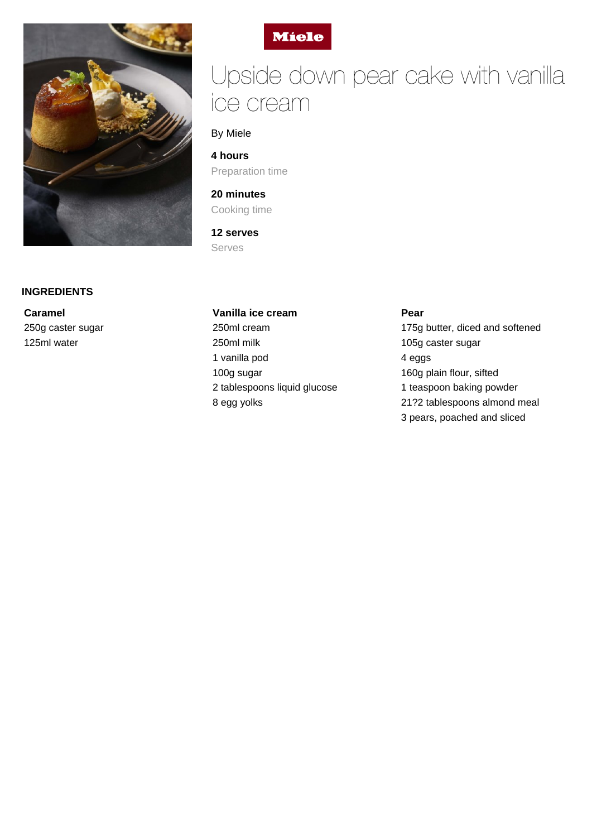



**Caramel** 250g caster sugar 125ml water



# Upside down pear cake with vanilla ice cream

## By Miele

**4 hours** Preparation time

# **20 minutes** Cooking time

**12 serves** Serves

## **Vanilla ice cream**

250ml cream 250ml milk 1 vanilla pod 100g sugar 2 tablespoons liquid glucose 8 egg yolks

**Pear**

175g butter, diced and softened 105g caster sugar 4 eggs 160g plain flour, sifted 1 teaspoon baking powder 21?2 tablespoons almond meal 3 pears, poached and sliced